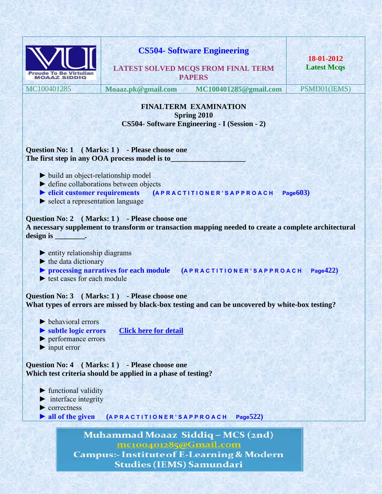| <b>Proude To Be Virtuliar</b><br><b>MOAAZ SIDDIQ</b>                                                                                                                                                         |                                                                                     | <b>CS504- Software Engineering</b><br><b>LATEST SOLVED MCQS FROM FINAL TERM</b><br><b>PAPERS</b>     | 18-01-2012<br><b>Latest Mcgs</b> |
|--------------------------------------------------------------------------------------------------------------------------------------------------------------------------------------------------------------|-------------------------------------------------------------------------------------|------------------------------------------------------------------------------------------------------|----------------------------------|
| MC100401285                                                                                                                                                                                                  |                                                                                     | Moaaz.pk@gmail.com MC100401285@gmail.com                                                             | PSMD01(IEMS)                     |
|                                                                                                                                                                                                              |                                                                                     | <b>FINALTERM EXAMINATION</b><br><b>Spring 2010</b><br>CS504- Software Engineering - I (Session - 2)  |                                  |
| Question No: 1 (Marks: 1) - Please choose one<br>The first step in any OOA process model is to                                                                                                               |                                                                                     |                                                                                                      |                                  |
| $\triangleright$ build an object-relationship model<br>$\blacktriangleright$ define collaborations between objects<br>$\blacktriangleright$ elicit customer requirements<br>Select a representation language |                                                                                     | (APRACTITIONER'SAPPROACH                                                                             | Page 603)                        |
|                                                                                                                                                                                                              | Question No: 2 (Marks: 1) - Please choose one                                       | A necessary supplement to transform or transaction mapping needed to create a complete architectural |                                  |
| $\blacktriangleright$ entity relationship diagrams<br>$\blacktriangleright$ the data dictionary<br>$\blacktriangleright$ test cases for each module                                                          |                                                                                     | > processing narratives for each module (APRACTITIONER'SAPPROACH                                     | Page $422$                       |
|                                                                                                                                                                                                              | Question No: 3 (Marks: 1) - Please choose one                                       | What types of errors are missed by black-box testing and can be uncovered by white-box testing?      |                                  |
| $\blacktriangleright$ behavioral errors<br>Subtle logic errors<br>$\blacktriangleright$ performance errors<br>$\blacktriangleright$ input error                                                              | <b>Click here for detail</b>                                                        |                                                                                                      |                                  |
| <b>Question No: 4</b> (Marks: 1)                                                                                                                                                                             | - Please choose one<br>Which test criteria should be applied in a phase of testing? |                                                                                                      |                                  |
| $\blacktriangleright$ functional validity<br>$\blacktriangleright$ interface integrity<br>$\blacktriangleright$ correctness<br>$\blacktriangleright$ all of the given                                        | (APRACTITIONER'SAPPROACH                                                            | Page 522)                                                                                            |                                  |
|                                                                                                                                                                                                              | <u>mc100401285@Gmail.com</u><br><b>Studies (IEMS) Samundari</b>                     | Muhammad Moaaz Siddiq - MCS (2nd)<br><b>Campus:- Institute of E-Learning &amp; Modern</b>            |                                  |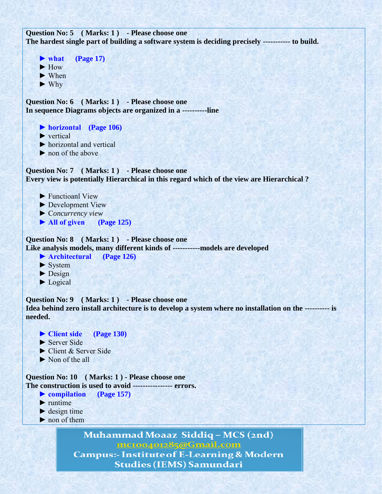```
Question No: 5 ( Marks: 1 ) - Please choose one
The hardest single part of building a software system is deciding precisely ----------- to build.
```

```
\triangleright what (Page 17)
 ► How
 ► When
 ► Why
```
**Question No: 6 ( Marks: 1 ) - Please choose one In sequence Diagrams objects are organized in a ----------line**

 **► horizontal (Page 106)**

► vertical

 $\blacktriangleright$  horizontal and vertical

► non of the above

**Question No: 7 ( Marks: 1 ) - Please choose one Every view is potentially Hierarchical in this regard which of the view are Hierarchical ?**

- ► Functioanl View
- ► Development View
- ► C*oncurrency view*
- **► All of given (Page 125)**

**Question No: 8 ( Marks: 1 ) - Please choose one Like analysis models, many different kinds of -----------models are developed**

- **► Architectural (Page 126)**
- $\blacktriangleright$  System
- $\blacktriangleright$  Design
- ► Logical

**Question No: 9 ( Marks: 1 ) - Please choose one Idea behind zero install architecture is to develop a system where no installation on the ---------- is needed.**

- **► Client side (Page 130)**
- ► Server Side
- ► Client & Server Side
- ► Non of the all

**Question No: 10 ( Marks: 1 ) - Please choose one The construction is used to avoid ---------------- errors.**

- **► compilation (Page 157)**
- $\blacktriangleright$  runtime
- $\blacktriangleright$  design time
- ► non of them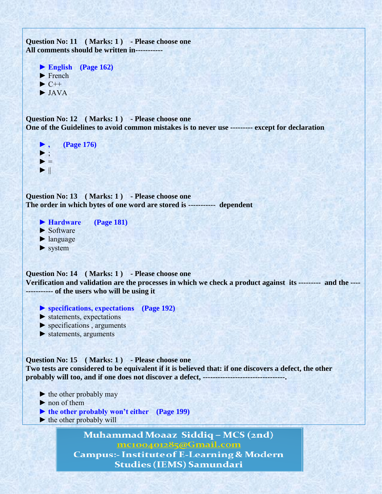```
Question No: 11 ( Marks: 1 ) - Please choose one
All comments should be written in-----------
     ► English (Page 162)
    \blacktriangleright French
    \blacktriangleright C++
     ► JAVA
Question No: 12 (Marks: 1) - Please choose one
One of the Guidelines to avoid common mistakes is to never use --------- except for declaration
     ► , (Page 176)
    \blacktriangleright ;
    \blacktriangleright =
    \blacktriangleright \parallelQuestion No: 13 ( Marks: 1 ) - Please choose one
The order in which bytes of one word are stored is ----------- dependent
     ► Hardware (Page 181)
    \blacktriangleright Software
     ► language
     ► system
Question No: 14 ( Marks: 1 ) - Please choose one
Verification and validation are the processes in which we check a product against its --------- and the ----
----------- of the users who will be using it
     ► specifications, expectations (Page 192)
     ► statements, expectations
     ► specifications , arguments
    \blacktriangleright statements, arguments
Question No: 15 ( Marks: 1 ) - Please choose one
Two tests are considered to be equivalent if it is believed that: if one discovers a defect, the other 
probably will too, and if one does not discover a defect, ---------------------------------. 
    \blacktriangleright the other probably may
     ► non of them
    ► the other probably won't either (Page 199)
    \blacktriangleright the other probably will
                   Muhammad Moaaz Siddiq - MCS (2nd)
                             mc100401285@Gmail.com
                Campus:- Institute of E-Learning & Modern
                             Studies (IEMS) Samundari
```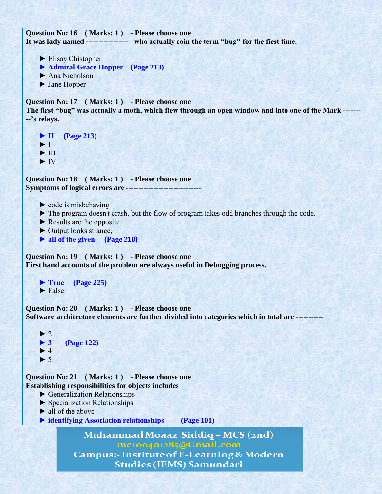**Question No: 16 ( Marks: 1 ) - Please choose one It was lady named ----------------- who actually coin the term "bug" for the fiest time.** 

- ► Elisay Chistopher
- **► Admiral Grace Hopper (Page 213)**
- ► Ana Nicholson
- ► Jane Hopper

**Question No: 17 ( Marks: 1 ) - Please choose one**

**The first "bug" was actually a moth, which flew through an open window and into one of the Mark ------- --'s relays.**

 **► II (Page 213)**  $\blacktriangleright$  I  $\blacktriangleright$  III ► IV

**Question No: 18 ( Marks: 1 ) - Please choose one Symptoms of logical errors are ------------------------------**

- $\triangleright$  code is misbehaving
- ► The program doesn't crash, but the flow of program takes odd branches through the code.
- $\blacktriangleright$  Results are the opposite
- ► Output looks strange,
- **► all of the given (Page 218)**

**Question No: 19 ( Marks: 1 ) - Please choose one**

**First hand accounts of the problem are always useful in Debugging process.**

```
 ► True (Page 225)
\blacktriangleright False
```
**Question No: 20 ( Marks: 1 ) - Please choose one Software architecture elements are further divided into categories which in total are -----------**

```
\blacktriangleright 2
 ► 3 (Page 122)
\blacktriangleright 4
\blacktriangleright 5
```
**Question No: 21 ( Marks: 1 ) - Please choose one Establishing responsibilities for objects includes**

- ► Generalization Relationships
- ► Specialization Relationships
- $\blacktriangleright$  all of the above
- ▶ identifying Association relationships (Page 101)

Muhammad Moaaz Siddiq - MCS (2nd) mc100401285@Gmail.com **Campus:- Institute of E-Learning & Modern** 

**Studies (IEMS) Samundari**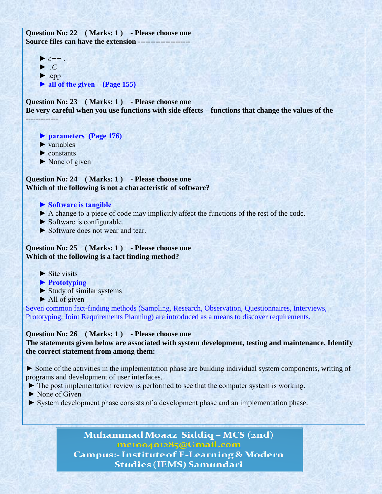**Question No: 22 ( Marks: 1 ) - Please choose one Source files can have the extension ---------------------**

 $\blacktriangleright$   $c++$ . ► *.C*  $\blacktriangleright$  .cpp  **► all of the given (Page 155)**

**Question No: 23 ( Marks: 1 ) - Please choose one**

**Be very careful when you use functions with side effects – functions that change the values of the**  -------------

 **► parameters (Page 176)**

- $\blacktriangleright$  variables
- ► constants
- $\triangleright$  None of given

**Question No: 24 ( Marks: 1 ) - Please choose one Which of the following is not a characteristic of software?**

- **► Software is tangible**
- ► A change to a piece of code may implicitly affect the functions of the rest of the code.
- ► Software is configurable.
- ► Software does not wear and tear.

**Question No: 25 ( Marks: 1 ) - Please choose one Which of the following is a fact finding method?**

- $\blacktriangleright$  Site visits
- **► Prototyping**
- ► Study of similar systems
- $\blacktriangleright$  All of given

Seven common fact-finding methods (Sampling, Research, Observation, Questionnaires, Interviews, Prototyping, Joint Requirements Planning) are introduced as a means to discover requirements.

### **Question No: 26 ( Marks: 1 ) - Please choose one**

**The statements given below are associated with system development, testing and maintenance. Identify the correct statement from among them:**

► Some of the activities in the implementation phase are building individual system components, writing of programs and development of user interfaces.

- ► The post implementation review is performed to see that the computer system is working.
- ► None of Given
- ► System development phase consists of a development phase and an implementation phase.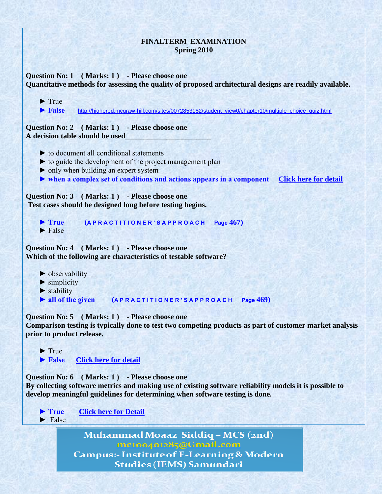| <b>FINALTERM EXAMINATION</b><br><b>Spring 2010</b>                                                                                                                                                                                                                        |  |  |  |
|---------------------------------------------------------------------------------------------------------------------------------------------------------------------------------------------------------------------------------------------------------------------------|--|--|--|
| Question No: 1 (Marks: 1) - Please choose one<br>Quantitative methods for assessing the quality of proposed architectural designs are readily available.                                                                                                                  |  |  |  |
| $\blacktriangleright$ True<br>$\blacktriangleright$ False<br>http://highered.mcgraw-hill.com/sites/0072853182/student_view0/chapter10/multiple_choice_quiz.html                                                                                                           |  |  |  |
| Question No: 2 (Marks: 1) - Please choose one<br>A decision table should be used                                                                                                                                                                                          |  |  |  |
| $\triangleright$ to document all conditional statements<br>ightharpoonup to guide the development of the project management plan<br>• only when building an expert system<br>If when a complex set of conditions and actions appears in a component Click here for detail |  |  |  |
| Question No: 3 (Marks: 1) - Please choose one<br>Test cases should be designed long before testing begins.                                                                                                                                                                |  |  |  |
| $\blacktriangleright$ True<br>Page 467)<br>(APRACTITIONER'SAPPROACH<br>$\blacktriangleright$ False                                                                                                                                                                        |  |  |  |
| Question No: 4 (Marks: 1) - Please choose one<br>Which of the following are characteristics of testable software?                                                                                                                                                         |  |  |  |
| $\triangleright$ observability<br>$\blacktriangleright$ simplicity<br>$\blacktriangleright$ stability<br>> all of the given (APRACTITIONER'S APPROACH Page 469)                                                                                                           |  |  |  |
| Question No: 5 (Marks: 1) - Please choose one<br>Comparison testing is typically done to test two competing products as part of customer market analysis<br>prior to product release.                                                                                     |  |  |  |
| $\blacktriangleright$ True<br>$\blacktriangleright$ False<br><b>Click here for detail</b>                                                                                                                                                                                 |  |  |  |
| (Marks: 1) - Please choose one<br><b>Ouestion No: 6</b><br>By collecting software metrics and making use of existing software reliability models it is possible to<br>develop meaningful guidelines for determining when software testing is done.                        |  |  |  |
| <b>Click here for Detail</b><br>$\blacktriangleright$ True<br>False                                                                                                                                                                                                       |  |  |  |
| Muhammad Moaaz Siddiq - MCS (2nd)<br><u>mc100401285@Gmail.com</u><br><b>Campus:- Institute of E-Learning &amp; Modern</b><br><b>Studies (IEMS) Samundari</b>                                                                                                              |  |  |  |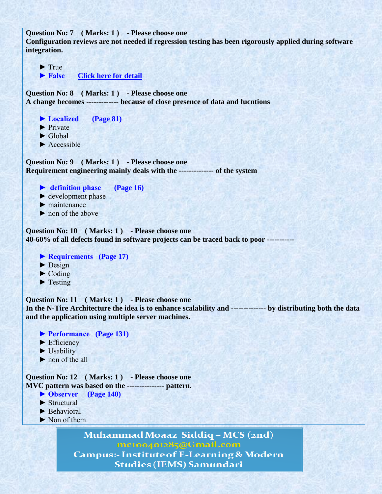```
Question No: 7 ( Marks: 1 ) - Please choose one
Configuration reviews are not needed if regression testing has been rigorously applied during software 
integration.
    \blacktriangleright True
    ▶ False Click here for detail
Question No: 8 ( Marks: 1 ) - Please choose one
A change becomes ------------- because of close presence of data and fucntions
     ► Localized (Page 81)
     ► Private
     ► Global
    \blacktriangleright Accessible
Question No: 9 ( Marks: 1 ) - Please choose one
Requirement engineering mainly deals with the -------------- of the system
     ► definition phase (Page 16)
    \blacktriangleright development phase
    \blacktriangleright maintenance
     ► non of the above
Question No: 10 ( Marks: 1 ) - Please choose one
40-60% of all defects found in software projects can be traced back to poor -----------
     ► Requirements (Page 17)
    \blacktriangleright Design
    \blacktriangleright Coding
    \blacktriangleright Testing
Question No: 11 ( Marks: 1 ) - Please choose one
In the N-Tire Architecture the idea is to enhance scalability and -------------- by distributing both the data 
and the application using multiple server machines.
     ► Performance (Page 131)
     ► Efficiency
    \blacktriangleright Usability
     ► non of the all
Question No: 12 ( Marks: 1 ) - Please choose one
MVC pattern was based on the --------------- pattern.
```
- **► Observer (Page 140)**
- ► Structural
- ▶ Behavioral
- ► Non of them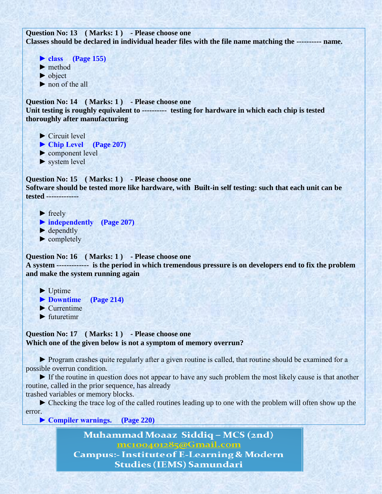**Question No: 13 ( Marks: 1 ) - Please choose one Classes should be declared in individual header files with the file name matching the ---------- name.** 

 **► class (Page 155)** ► method ► object ▶ non of the all

**Question No: 14 ( Marks: 1 ) - Please choose one Unit testing is roughly equivalent to ---------- testing for hardware in which each chip is tested thoroughly after manufacturing**

► Circuit level

**► Chip Level (Page 207)**

- ► component level
- ► system level

**Question No: 15 ( Marks: 1 ) - Please choose one Software should be tested more like hardware, with Built-in self testing: such that each unit can be tested -------------**

 $\blacktriangleright$  freely

- **► independently (Page 207)**
- $\blacktriangleright$  dependtly
- ► completely

**Question No: 16 ( Marks: 1 ) - Please choose one**

**A system ------------- is the period in which tremendous pressure is on developers end to fix the problem and make the system running again**

 $\blacktriangleright$  Uptime

- **► Downtime (Page 214)**
- $\blacktriangleright$  Currentime
- $\blacktriangleright$  futuretime

**Question No: 17 ( Marks: 1 ) - Please choose one Which one of the given below is not a symptom of memory overrun?**

 ► Program crashes quite regularly after a given routine is called, that routine should be examined for a possible overrun condition.

 ► If the routine in question does not appear to have any such problem the most likely cause is that another routine, called in the prior sequence, has already

trashed variables or memory blocks.

 ► Checking the trace log of the called routines leading up to one with the problem will often show up the error.

**► Compiler warnings. (Page 220)**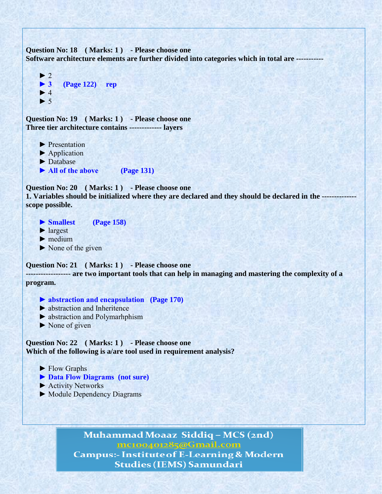Question No: 18 (Marks: 1) - Please choose one **Software architecture elements are further divided into categories which in total are -----------**

```
\blacktriangleright 2
 ► 3 (Page 122) rep
\blacktriangleright 4
\blacktriangleright 5
```
Question No: 19 (Marks: 1) - Please choose one **Three tier architecture contains ------------- layers**

- ► Presentation
- ► Application
- ► Database
- ▶ All of the above (Page 131)

**Question No: 20 ( Marks: 1 ) - Please choose one**

**1. Variables should be initialized where they are declared and they should be declared in the ------------- scope possible.**

- **► Smallest (Page 158)**
- ► largest
- $\blacktriangleright$  medium
- $\triangleright$  None of the given

**Question No: 21 ( Marks: 1 ) - Please choose one**

**------------------ are two important tools that can help in managing and mastering the complexity of a program.**

- 
- ► abstraction and Inheritence
- ► abstraction and Polymarhphism
- ► None of given

**Question No: 22 ( Marks: 1 ) - Please choose one Which of the following is a/are tool used in requirement analysis?**

- ► Flow Graphs
- **► Data Flow Diagrams (not sure)**
- ► Activity Networks
- ► Module Dependency Diagrams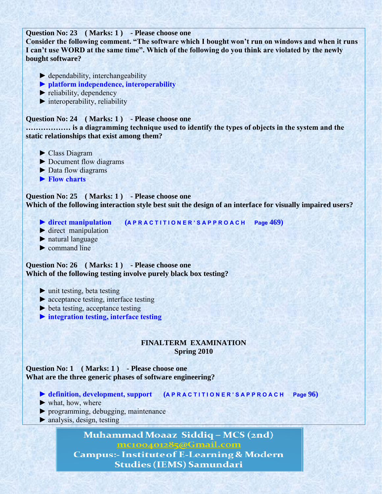**Question No: 23 ( Marks: 1 ) - Please choose one**

**Consider the following comment. "The software which I bought won't run on windows and when it runs I can't use WORD at the same time". Which of the following do you think are violated by the newly bought software?**

- $\blacktriangleright$  dependability, interchangeability
- **► platform independence, interoperability**
- $\blacktriangleright$  reliability, dependency
- $\blacktriangleright$  interoperability, reliability

#### **Question No: 24 ( Marks: 1 ) - Please choose one**

**……………… is a diagramming technique used to identify the types of objects in the system and the static relationships that exist among them?**

- ► Class Diagram
- ► Document flow diagrams
- ► Data flow diagrams
- **► Flow charts**

**Question No: 25 ( Marks: 1 ) - Please choose one Which of the following interaction style best suit the design of an interface for visually impaired users?** 

- 
- **► direct manipulation (A P R A C T I T I O N E R ' S A P P R O A C H Page 469)**
- $\blacktriangleright$  direct manipulation
- ► natural language
- $\blacktriangleright$  command line

**Question No: 26 ( Marks: 1 ) - Please choose one Which of the following testing involve purely black box testing?**

- $\blacktriangleright$  unit testing, beta testing
- ► acceptance testing, interface testing
- ► beta testing, acceptance testing
- **► integration testing, interface testing**

#### **FINALTERM EXAMINATION Spring 2010**

**Question No: 1 ( Marks: 1 ) - Please choose one What are the three generic phases of software engineering?**

- **► definition, development, support (A P R A C T I T I O N E R ' S A P P R O A C H Page 96)**
- ► what, how, where
- ► programming, debugging, maintenance
- ► analysis, design, testing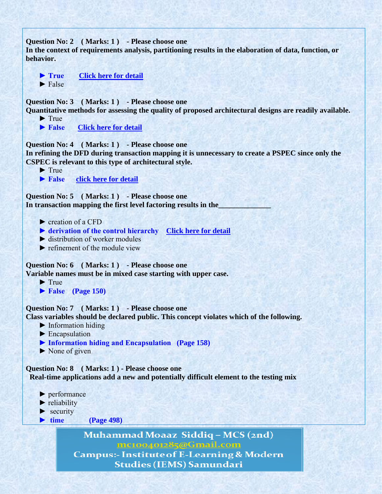**Question No: 2 ( Marks: 1 ) - Please choose one In the context of requirements analysis, partitioning results in the elaboration of data, function, or behavior. ► True** [Click here for detail](iete-elan.ac.in/SolQP/soln/AC16_sol.pdf)  $\blacktriangleright$  False **Question No: 3 ( Marks: 1 ) - Please choose one Quantitative methods for assessing the quality of proposed architectural designs are readily available.**  $\blacktriangleright$  True **► False** [Click here for detail](http://highered.mcgraw-hill.com/sites/0072853182/student_view0/chapter10/multiple_choice_quiz.html) **Question No: 4 ( Marks: 1 ) - Please choose one In refining the DFD during transaction mapping it is unnecessary to create a PSPEC since only the CSPEC is relevant to this type of architectural style.**  $\blacktriangleright$  True **► False [click here for detail](220.225.146.19/circular/DataFile/4/Jun%202010.pdf) Question No: 5 ( Marks: 1 ) - Please choose one** In transaction mapping the first level factoring results in the ► creation of a CFD  **► derivation of the control hierarchy [Click here for detail](http://highered.mcgraw-hill.com/sites/0072853182/student_view0/chapter10/multiple_choice_quiz.html)** ► distribution of worker modules  $\blacktriangleright$  refinement of the module view **Question No: 6 ( Marks: 1 ) - Please choose one Variable names must be in mixed case starting with upper case.**  $\blacktriangleright$  True  **► False (Page 150) Question No: 7 ( Marks: 1 ) - Please choose one Class variables should be declared public. This concept violates which of the following.**  $\blacktriangleright$  Information hiding ► Encapsulation  **► Information hiding and Encapsulation (Page 158)**  $\blacktriangleright$  None of given **Question No: 8 ( Marks: 1 ) - Please choose one Real-time applications add a new and potentially difficult element to the testing mix** ► performance  $\blacktriangleright$  reliability  $\blacktriangleright$  security  **► time (Page 498)**Muhammad Moaaz Siddiq - MCS (2nd) mc100401285@Gmail.com **Campus:- Institute of E-Learning & Modern** 

**Studies (IEMS) Samundari**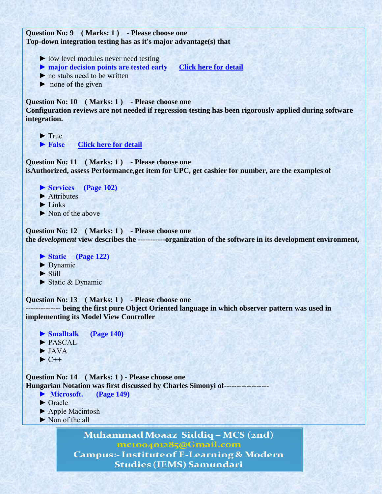**Question No: 9 ( Marks: 1 ) - Please choose one Top-down integration testing has as it's major advantage(s) that**

- ► low level modules never need testing
- **► major decision points are tested early [Click here for detail](http://highered.mcgraw-hill.com/sites/0072853182/student_view0/chapter13/multiple_choice_quiz.html)**
- ► no stubs need to be written
- $\triangleright$  none of the given

#### **Question No: 10 ( Marks: 1 ) - Please choose one**

**Configuration reviews are not needed if regression testing has been rigorously applied during software integration.**

 $\blacktriangleright$  True

▶ False **[Click here for detail](http://highered.mcgraw-hill.com/sites/0072853182/student_view0/chapter13/multiple_choice_quiz.html)** 

**Question No: 11 ( Marks: 1 ) - Please choose one isAuthorized, assess Performance,get item for UPC, get cashier for number, are the examples of** 

- **► Services (Page 102)**
- ► Attributes
- $\blacktriangleright$  Links
- ► Non of the above

**Question No: 12 ( Marks: 1 ) - Please choose one the** *development* **view describes the -----------organization of the software in its development environment,**

 **► Static (Page 122)** ► Dynamic

- 
- $\blacktriangleright$  Still
- ► Static & Dynamic

**Question No: 13 ( Marks: 1 ) - Please choose one -------------- being the first pure Object Oriented language in which observer pattern was used in implementing its Model View Controller**

 **► Smalltalk (Page 140)** ► PASCAL  $\blacktriangleright$  JAVA  $\blacktriangleright$  C++

**Question No: 14 ( Marks: 1 ) - Please choose one Hungarian Notation was first discussed by Charles Simonyi of------------------**

- **► Microsoft. (Page 149)**
- ► Oracle
- ► Apple Macintosh
- ► Non of the all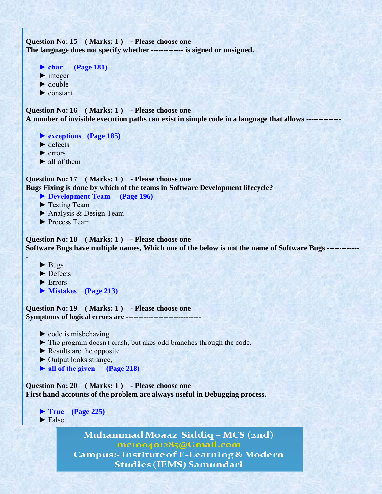```
Question No: 15 ( Marks: 1 ) - Please choose one
The language does not specify whether ------------- is signed or unsigned.
```

```
 ► char (Page 181)
\blacktriangleright integer
\blacktriangleright double
 ► constant
```
**Question No: 16 ( Marks: 1 ) - Please choose one A number of invisible execution paths can exist in simple code in a language that allows --------------**

 **► exceptions (Page 185)**

- $\blacktriangleright$  defects
- $\blacktriangleright$  errors
- $\blacktriangleright$  all of them

**Question No: 17 ( Marks: 1 ) - Please choose one Bugs Fixing is done by which of the teams in Software Development lifecycle?**

- **► Development Team (Page 196)**
- ► Testing Team
- ► Analysis & Design Team
- ► Process Team

**Question No: 18 ( Marks: 1 ) - Please choose one Software Bugs have multiple names, Which one of the below is not the name of Software Bugs -------------**

► Bugs

**-**

- ► Defects
- ► Errors
- **► Mistakes (Page 213)**

**Question No: 19 ( Marks: 1 ) - Please choose one Symptoms of logical errors are ------------------------------**

- $\triangleright$  code is misbehaving
- ► The program doesn't crash, but akes odd branches through the code.
- $\blacktriangleright$  Results are the opposite
- ► Output looks strange,
- **► all of the given (Page 218)**

**Question No: 20 ( Marks: 1 ) - Please choose one First hand accounts of the problem are always useful in Debugging process.**

 **► True (Page 225)**  $\blacktriangleright$  False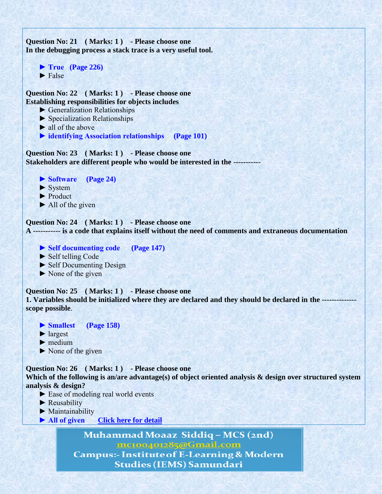```
Question No: 21 ( Marks: 1 ) - Please choose one
In the debugging process a stack trace is a very useful tool.
     ► True (Page 226)
    \blacktriangleright False
Question No: 22 ( Marks: 1 ) - Please choose one
Establishing responsibilities for objects includes
     ► Generalization Relationships
     ► Specialization Relationships
    \blacktriangleright all of the above
     ► identifying Association relationships (Page 101)
Question No: 23 ( Marks: 1 ) - Please choose one
Stakeholders are different people who would be interested in the -----------
    ▶ Software (Page 24)
    \blacktriangleright System
     ► Product
    \blacktriangleright All of the given
Question No: 24 ( Marks: 1 ) - Please choose one
A ----------- is a code that explains itself without the need of comments and extraneous documentation
     ► Self documenting code (Page 147)
     ► Self telling Code
     ► Self Documenting Design
    \triangleright None of the given
Question No: 25 (Marks: 1) - Please choose one
1. Variables should be initialized where they are declared and they should be declared in the --------------
scope possible. 
     ► Smallest (Page 158) 
     ► largest
    \blacktriangleright medium
    \triangleright None of the given
Question No: 26 ( Marks: 1 ) - Please choose one
Which of the following is an/are advantage(s) of object oriented analysis & design over structured system 
analysis & design?
     ► Ease of modeling real world events
     ► Reusability
     ► Maintainability 
    ▶ All of given Click here for detail
```
Muhammad Moaaz Siddiq - MCS (2nd) mc100401285@Gmail.com

**Campus:- Institute of E-Learning & Modern Studies (IEMS) Samundari**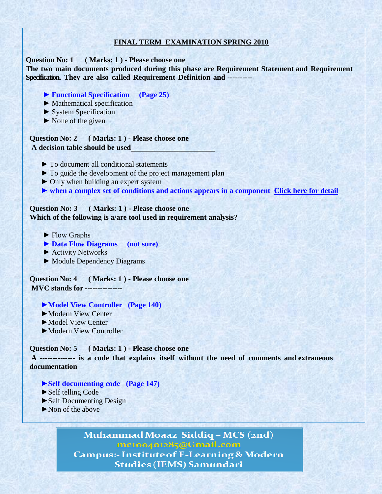## **FINAL TERM EXAMINATION SPRING 2010**

**Question No: 1 ( Marks: 1 ) - Please choose one** 

**The two main documents produced during this phase are Requirement Statement and Requirement Specification. They are also called Requirement Definition and ----------**

- **► Functional Specification (Page 25)**
- **►** Mathematical specification
- **►** System Specification
- **►** None of the given

**Question No: 2 ( Marks: 1 ) - Please choose one A decision table should be used** 

- **►** To document all conditional statements
- **►** To guide the development of the project management plan
- **►** Only when building an expert system
- **► when a complex set of conditions and actions appears in a component [Click here for detail](http://highered.mcgraw-hill.com/sites/0073375977/student_view0/chapter10/multiple_choice_quiz.html)**

## **Question No: 3 ( Marks: 1 ) - Please choose one Which of the following is a/are tool used in requirement analysis?**

- **►** Flow Graphs
- **► Data Flow Diagrams (not sure)**
- **►** Activity Networks
- **►** Module Dependency Diagrams

**Question No: 4 ( Marks: 1 ) - Please choose one MVC stands for ---------------**

- ►**Model View Controller (Page 140)**
- ►Modern View Center
- ►Model View Center
- ►Modern View Controller

#### **Question No: 5 ( Marks: 1 ) - Please choose one**

**A -------------- is a code that explains itself without the need of comments and extraneous documentation**

- **►Self documenting code (Page 147)**
- ►Self telling Code
- ►Self Documenting Design
- ►Non of the above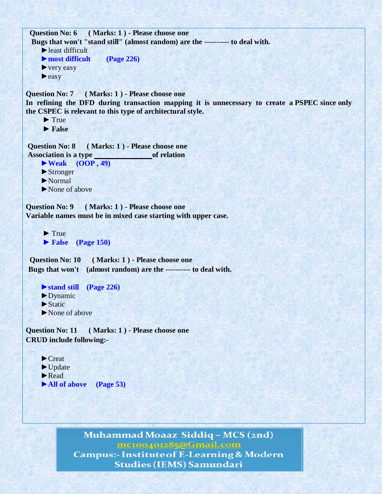```
Question No: 6 ( Marks: 1 ) - Please choose one
 Bugs that won't "stand still" (almost random) are the ---------- to deal with.
    ►least difficult
    ►most difficult (Page 226)
    ► very easy
    ►easy
Question No: 7 ( Marks: 1 ) - Please choose one 
In refining the DFD during transaction mapping it is unnecessary to create a PSPEC since only
the CSPEC is relevant to this type of architectural style.
     \blacktriangleright True
     ► False
Question No: 8 ( Marks: 1 ) - Please choose one 
Association is a type of relation
    ►Weak (OOP , 49)
    ►Stronger
    ►Normal
    ►None of above
Question No: 9 ( Marks: 1 ) - Please choose one 
Variable names must be in mixed case starting with upper case.
     \blacktriangleright True
     ► False (Page 150)
 Question No: 10 ( Marks: 1 ) - Please choose one
Bugs that won't (almost random) are the ---------- to deal with.
    ►stand still (Page 226)
    ►Dynamic
    ►Static
    ►None of above
Question No: 11 ( Marks: 1 ) - Please choose one 
CRUD include following:-
    ►Creat
    ►Update
    ►Read
```
Muhammad Moaaz Siddiq - MCS (2nd) mc100401285@Gmail.com **Campus:- Institute of E-Learning & Modern Studies (IEMS) Samundari** 

►**All of above (Page 53)**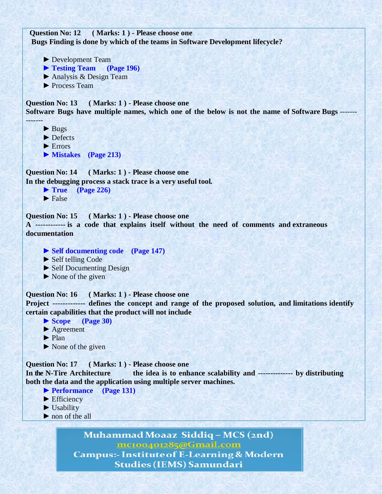**Question No: 12 ( Marks: 1 ) - Please choose one Bugs Finding is done by which of the teams in Software Development lifecycle?**

- ► Development Team
- ► **Testing Team (Page 196)**
- ► Analysis & Design Team
- ► Process Team

**Question No: 13 ( Marks: 1 ) - Please choose one Software Bugs have multiple names, which one of the below is not the name of Software Bugs** -------

► Bugs

-------

- ► Defects
- $\blacktriangleright$  Errors
- ► **Mistakes (Page 213)**

**Question No: 14 ( Marks: 1 ) - Please choose one In the debugging process a stack trace is a very useful tool.**

```
► True (Page 226)
\blacktriangleright False
```
**Question No: 15 ( Marks: 1 ) - Please choose one** 

**A ------------ is a code that explains itself without the need of comments and extraneous documentation**

- **► Self documenting code (Page 147)**
- ► Self telling Code
- ► Self Documenting Design
- $\triangleright$  None of the given

**Question No: 16 ( Marks: 1 ) - Please choose one** 

**Project ------------- defines the concept and range of the proposed solution, and limitations identify certain capabilities that the product will not include**

- **► Scope (Page 30)**
- **►** Agreement
- **►** Plan
- **►** None of the given

**Question No: 17 ( Marks: 1 ) - Please choose one** 

**In the N-Tire Architecture the idea is to enhance scalability and -------------- by distributing both the data and the application using multiple server machines.**

- **► Performance (Page 131)**
- ► Efficiency
- ► Usability
- ► non of the all

Muhammad Moaaz Siddiq - MCS (2nd) mc100401285@Gmail.com

**Campus:- Institute of E-Learning & Modern Studies (IEMS) Samundari**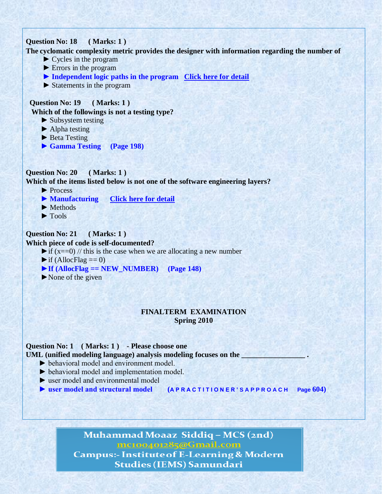## **Question No: 18 ( Marks: 1 )**

**The cyclomatic complexity metric provides the designer with information regarding the number of**

- $\triangleright$  Cycles in the program
- ► Errors in the program
- ► **Independent logic paths in the program [Click here for detail](http://highered.mcgraw-hill.com/sites/0072853182/student_view0/chapter14/multiple_choice_quiz.html)**
- ► Statements in the program

## **Question No: 19 ( Marks: 1 )**

**Which of the followings is not a testing type?**

- ► Subsystem testing
- $\blacktriangleright$  Alpha testing
- ► Beta Testing
- ► **Gamma Testing (Page 198)**

# **Question No: 20 ( Marks: 1 )**

**Which of the items listed below is not one of the software engineering layers?**

- ► Process
- ► **Manufacturing [Click here for detail](http://highered.mcgraw-hill.com/sites/0072853182/student_view0/chapter2/multiple_choice_quiz.html)**
- $\blacktriangleright$  Methods
- $\blacktriangleright$  Tools

## **Question No: 21 ( Marks: 1 )**

#### **Which piece of code is self-documented?**

 $\triangleright$  if (x==0) // this is the case when we are allocating a new number

- $\blacktriangleright$  if (AllocFlag == 0)
- $\blacktriangleright$  If (AllocFlag == NEW NUMBER) (Page 148)
- $\blacktriangleright$  None of the given

### **FINALTERM EXAMINATION Spring 2010**

## **Question No: 1 ( Marks: 1 ) - Please choose one**

UML (unified modeling language) analysis modeling focuses on the

- ► behavioral model and environment model.
- ► behavioral model and implementation model.
- ► user model and environmental model
- **► user model and structural model (A P R A C T I T I O N E R ' S A P P R O A C H Page 604)**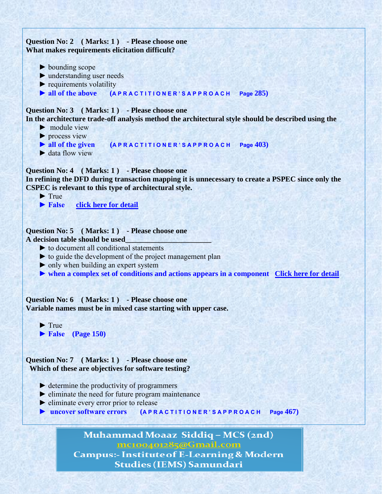

**Campus:- Institute of E-Learning & Modern Studies (IEMS) Samundari**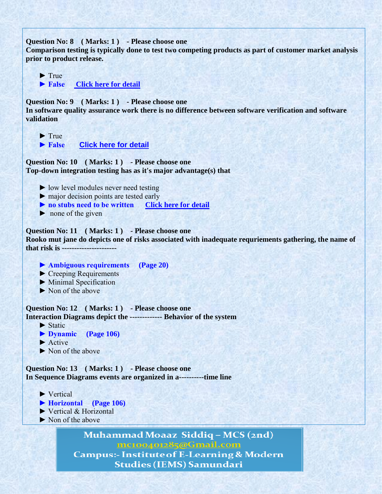**Question No: 8 ( Marks: 1 ) - Please choose one Comparison testing is typically done to test two competing products as part of customer market analysis prior to product release.**

 $\blacktriangleright$  True ▶ False **Click here for detail** 

**Question No: 9 ( Marks: 1 ) - Please choose one In software quality assurance work there is no difference between software verification and software validation**

 $\blacktriangleright$  True

▶ False **[Click here for detail](http://highered.mcgraw-hill.com/sites/0072853182/student_view0/chapter13/multiple_choice_quiz.html)** 

**Question No: 10 ( Marks: 1 ) - Please choose one Top-down integration testing has as it's major advantage(s) that**

- ► low level modules never need testing
- ► major decision points are tested early
- **► no stubs need to be written [Click here for detail](http://highered.mcgraw-hill.com/sites/0072853182/student_view0/chapter13/multiple_choice_quiz.html)**
- $\triangleright$  none of the given

**Question No: 11 ( Marks: 1 ) - Please choose one Rooko mut jane do depicts one of risks associated with inadequate requriements gathering, the name of that risk is ----------------------**

- **► Ambiguous requirements (Page 20)**
- ► Creeping Requirements
- ► Minimal Specification
- ► Non of the above

**Question No: 12 ( Marks: 1 ) - Please choose one Interaction Diagrams depict the ------------- Behavior of the system**

► Static

- **► Dynamic (Page 106)**
- ► Active
- ► Non of the above

**Question No: 13 ( Marks: 1 ) - Please choose one In Sequence Diagrams events are organized in a----------time line**

- ► Vertical
- **► Horizontal (Page 106)**
- ► Vertical & Horizontal
- ► Non of the above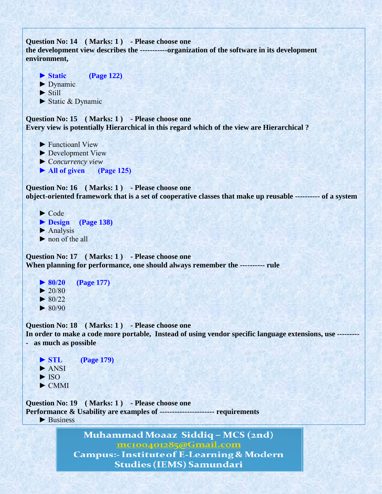```
Question No: 14 ( Marks: 1 ) - Please choose one
the development view describes the -----------organization of the software in its development 
environment,
```

```
▶ Static (Page 122)
 ► Dynamic
 ► Still
```
► Static & Dynamic

**Question No: 15 ( Marks: 1 ) - Please choose one Every view is potentially Hierarchical in this regard which of the view are Hierarchical ?**

- ▶ Functioanl View
- ► Development View
- ► C*oncurrency view*
- **► All of given (Page 125)**

**Question No: 16 ( Marks: 1 ) - Please choose one object-oriented framework that is a set of cooperative classes that make up reusable ---------- of a system**

- ► Code
- **► Design (Page 138)**
- $\blacktriangleright$  Analysis
- ► non of the all

**Question No: 17 ( Marks: 1 ) - Please choose one When planning for performance, one should always remember the ---------- rule**

 **► 80/20 (Page 177)**  $\blacktriangleright$  20/80  $\blacktriangleright$  80/22  $\blacktriangleright$  80/90

**Question No: 18 ( Marks: 1 ) - Please choose one In order to make a code more portable, Instead of using vendor specific language extensions, use --------- - as much as possible**

 **► STL (Page 179)** ► ANSI  $\blacktriangleright$  ISO ► CMMI

**Question No: 19 ( Marks: 1 ) - Please choose one Performance & Usability are examples of ---------------------- requirements**  $\blacktriangleright$  Business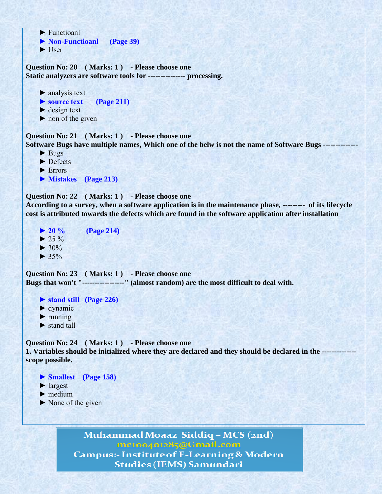```
 ► Functioanl
 ► Non-Functioanl (Page 39)
 ► User
```
**Question No: 20 ( Marks: 1 ) - Please choose one Static analyzers are software tools for --------------- processing.**

```
\blacktriangleright analysis text
```
- **► source text (Page 211)**
- $\blacktriangleright$  design text
- $\triangleright$  non of the given

**Question No: 21 ( Marks: 1 ) - Please choose one Software Bugs have multiple names, Which one of the belw is not the name of Software Bugs --------------**

- ► Bugs
- ► Defects
- ► Errors

```
 ► Mistakes (Page 213)
```
**Question No: 22 ( Marks: 1 ) - Please choose one**

**According to a survey, when a software application is in the maintenance phase, --------- of its lifecycle cost is attributed towards the defects which are found in the software application after installation**

```
 ► 20 % (Page 214)
\blacktriangleright 25 %
\blacktriangleright 30%
\blacktriangleright 35%
```
**Question No: 23 ( Marks: 1 ) - Please choose one Bugs that won't "-----------------" (almost random) are the most difficult to deal with.**

**► stand still (Page 226)**

- $\blacktriangleright$  dynamic
- $\blacktriangleright$  running
- ► stand tall

Question No: 24 (Marks: 1) - Please choose one **1. Variables should be initialized where they are declared and they should be declared in the ------------- scope possible.**

 **► Smallest (Page 158)**

- ► largest
- ► medium
- ► None of the given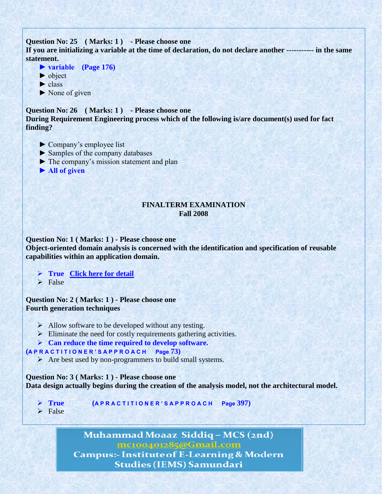## **Question No: 25 ( Marks: 1 ) - Please choose one**

**If you are initializing a variable at the time of declaration, do not declare another ----------- in the same statement.**

- **► variable (Page 176)**
- ► object
- $\blacktriangleright$  class
- $\blacktriangleright$  None of given

**Question No: 26 ( Marks: 1 ) - Please choose one During Requirement Engineering process which of the following is/are document(s) used for fact finding?**

- ► Company's employee list
- ► Samples of the company databases
- ► The company's mission statement and plan
- **► All of given**

## **FINALTERM EXAMINATION Fall 2008**

**Question No: 1 ( Marks: 1 ) - Please choose one Object-oriented domain analysis is concerned with the identification and specification of reusable capabilities within an application domain.**

- **True [Click here for detail](http://highered.mcgraw-hill.com/sites/0073375977/student_view0/chapter6/multiple_choice_quiz.html)**
- $\triangleright$  False

**Question No: 2 ( Marks: 1 ) - Please choose one Fourth generation techniques**

- $\triangleright$  Allow software to be developed without any testing.
- $\triangleright$  Eliminate the need for costly requirements gathering activities.
- **Can reduce the time required to develop software.**

#### **(A P R A C T I T I O N E R ' S A P P R O A C H Page 73)**

 $\triangleright$  Are best used by non-programmers to build small systems.

**Question No: 3 ( Marks: 1 ) - Please choose one Data design actually begins during the creation of the analysis model, not the architectural model.**

- **True (A P R A C T I T I O N E R ' S A P P R O A C H Page 397)**
- $\triangleright$  False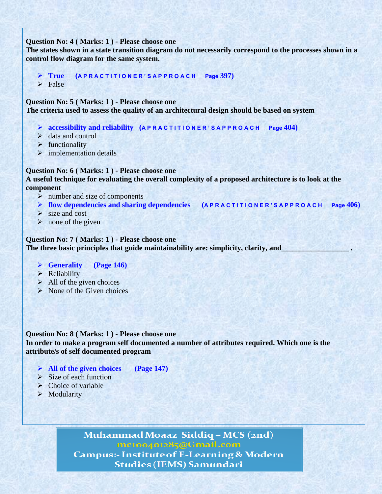#### **Question No: 4 ( Marks: 1 ) - Please choose one**

**The states shown in a state transition diagram do not necessarily correspond to the processes shown in a control flow diagram for the same system.**

**True (A P R A C T I T I O N E R ' S A P P R O A C H Page 397)**

 $\triangleright$  False

**Question No: 5 ( Marks: 1 ) - Please choose one**

**The criteria used to assess the quality of an architectural design should be based on system**

- **accessibility and reliability (A P R A C T I T I O N E R ' S A P P R O A C H Page 404)**
- $\triangleright$  data and control
- $\triangleright$  functionality
- $\triangleright$  implementation details

## **Question No: 6 ( Marks: 1 ) - Please choose one**

**A useful technique for evaluating the overall complexity of a proposed architecture is to look at the component**

- $\triangleright$  number and size of components
- **flow dependencies and sharing dependencies (A P R A C T I T I O N E R ' S A P P R O A C H Page 406)**
- $\triangleright$  size and cost
- $\triangleright$  none of the given

## **Question No: 7 ( Marks: 1 ) - Please choose one** The three basic principles that guide maintainability are: simplicity, clarity, and

- **Generality (Page 146)**
- $\triangleright$  Reliability
- $\triangleright$  All of the given choices
- $\triangleright$  None of the Given choices

**Question No: 8 ( Marks: 1 ) - Please choose one In order to make a program self documented a number of attributes required. Which one is the attribute/s of self documented program**

- **All of the given choices (Page 147)**
- $\triangleright$  Size of each function
- $\triangleright$  Choice of variable
- $\triangleright$  Modularity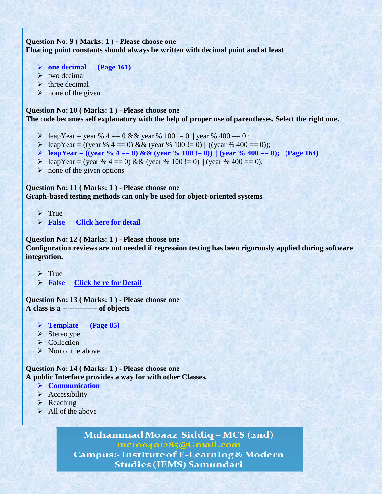# **Question No: 9 ( Marks: 1 ) - Please choose one Floating point constants should always be written with decimal point and at least**

- **one decimal (Page 161)**
- $\triangleright$  two decimal
- $\triangleright$  three decimal
- $\triangleright$  none of the given

## **Question No: 10 ( Marks: 1 ) - Please choose one**

**The code becomes self explanatory with the help of proper use of parentheses. Select the right one.**

- $\geq$  leapYear = year % 4 = 0 & & year % 100 != 0 || year % 400 = 0;
- $\triangleright$  leapYear = ((year % 4 == 0) && (year % 100 != 0) || ((year % 400 == 0));
- **leapYear = ((year % 4 == 0) && (year % 100 != 0))** || (year % 400 == 0); (Page 164)
- $\geq$  leapYear = (year % 4 = 0) && (year % 100 != 0) || (year % 400 = 0);
- $\triangleright$  none of the given options

**Question No: 11 ( Marks: 1 ) - Please choose one**

**Graph-based testing methods can only be used for object-oriented systems**

- $\triangleright$  True
- **False [Click here for detail](?%09http:/highered.mcgraw-hill.com/sites/0072853182/student_view0/chapter14/multiple_choice_quiz.html)**

**Question No: 12 ( Marks: 1 ) - Please choose one**

**Configuration reviews are not needed if regression testing has been rigorously applied during software integration.**

- $\triangleright$  True
- **False [Click he re for Detail](?%09http:/highered.mcgraw-hill.com/sites/0072853182/student_view0/chapter13/multiple_choice_quiz.html)**

**Question No: 13 ( Marks: 1 ) - Please choose one A class is a -------------- of objects**

- **Template (Page 85)**
- $\triangleright$  Stereotype
- Collection
- $\triangleright$  Non of the above

**Question No: 14 ( Marks: 1 ) - Please choose one A public Interface provides a way for with other Classes.**

- **Communication**
- $\triangleright$  Accessibility
- $\triangleright$  Reaching
- $\triangleright$  All of the above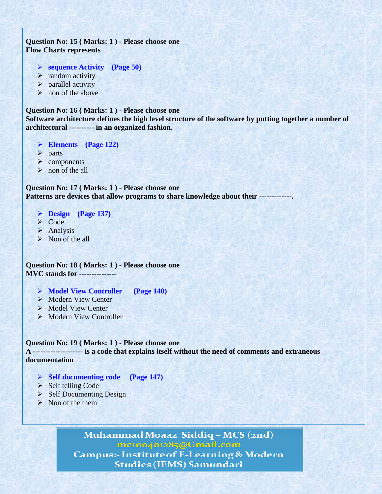## **Question No: 15 ( Marks: 1 ) - Please choose one Flow Charts represents**

- **sequence Activity (Page 50)**
- $\triangleright$  random activity
- $\triangleright$  parallel activity
- $\triangleright$  non of the above

### **Question No: 16 ( Marks: 1 ) - Please choose one Software architecture defines the high level structure of the software by putting together a number of architectural ---------- in an organized fashion.**

**Elements (Page 122)**

- > parts
- $\triangleright$  components
- $\triangleright$  non of the all

**Question No: 17 ( Marks: 1 ) - Please choose one Patterns are devices that allow programs to share knowledge about their -------------.**

- **Design (Page 137)**
- **≻** Code
- $\triangleright$  Analysis
- $\triangleright$  Non of the all

**Question No: 18 ( Marks: 1 ) - Please choose one MVC stands for ---------------**

- **Model View Controller (Page 140)**
- $\triangleright$  Modern View Center
- Model View Center
- $\triangleright$  Modern View Controller

#### **Question No: 19 ( Marks: 1 ) - Please choose one**

**A -------------------- is a code that explains itself without the need of comments and extraneous documentation**

- **Self documenting code (Page 147)**
- $\triangleright$  Self telling Code
- $\triangleright$  Self Documenting Design
- $\triangleright$  Non of the them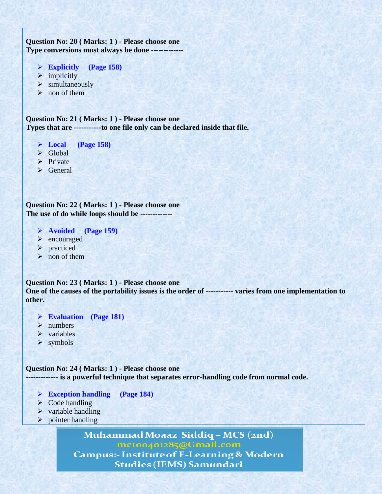# **Question No: 20 ( Marks: 1 ) - Please choose one Type conversions must always be done -------------**

- **Explicitly (Page 158)**
- $\triangleright$  implicitly
- $\triangleright$  simultaneously
- $\triangleright$  non of them

**Question No: 21 ( Marks: 1 ) - Please choose one Types that are -----------to one file only can be declared inside that file.**

- **Local (Page 158)**
- $\triangleright$  Global
- $\triangleright$  Private
- > General

**Question No: 22 ( Marks: 1 ) - Please choose one The use of do while loops should be -------------**

- **Avoided (Page 159)**
- $\triangleright$  encouraged
- > practiced
- $\triangleright$  non of them

**Question No: 23 ( Marks: 1 ) - Please choose one One of the causes of the portability issues is the order of ----------- varies from one implementation to other.**

- **Evaluation (Page 181)**
- $\triangleright$  numbers
- $\triangleright$  variables
- > symbols

**Question No: 24 ( Marks: 1 ) - Please choose one ------------- is a powerful technique that separates error-handling code from normal code.**

- **Exception handling (Page 184)**
- $\triangleright$  Code handling
- $\triangleright$  variable handling
- $\triangleright$  pointer handling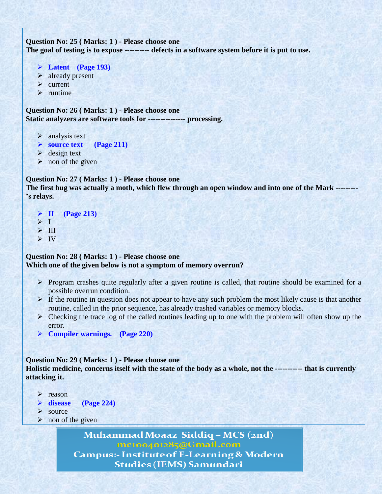```
Question No: 25 ( Marks: 1 ) - Please choose one
The goal of testing is to expose ---------- defects in a software system before it is put to use.
```

```
 Latent (Page 193)
```
- $\triangleright$  already present
- $\triangleright$  current
- $\triangleright$  runtime

**Question No: 26 ( Marks: 1 ) - Please choose one Static analyzers are software tools for --------------- processing.**

- $\triangleright$  analysis text
- **source text (Page 211)**
- $\triangleright$  design text
- $\triangleright$  non of the given

## **Question No: 27 ( Marks: 1 ) - Please choose one**

**The first bug was actually a moth, which flew through an open window and into one of the Mark --------- 's relays.**

```
 II (Page 213)
> 1\triangleright III
\triangleright IV
```
## **Question No: 28 ( Marks: 1 ) - Please choose one Which one of the given below is not a symptom of memory overrun?**

- $\triangleright$  Program crashes quite regularly after a given routine is called, that routine should be examined for a possible overrun condition.
- $\triangleright$  If the routine in question does not appear to have any such problem the most likely cause is that another routine, called in the prior sequence, has already trashed variables or memory blocks.
- $\triangleright$  Checking the trace log of the called routines leading up to one with the problem will often show up the error.
- **Compiler warnings. (Page 220)**

### **Question No: 29 ( Marks: 1 ) - Please choose one**

**Holistic medicine, concerns itself with the state of the body as a whole, not the ----------- that is currently attacking it.**

- $\triangleright$  reason
- **disease (Page 224)**
- $\triangleright$  source
- $\triangleright$  non of the given